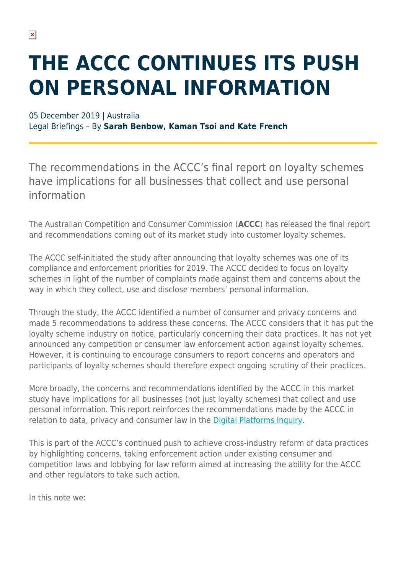# **THE ACCC CONTINUES ITS PUSH ON PERSONAL INFORMATION**

#### 05 December 2019 | Australia

Legal Briefings – By **Sarah Benbow, Kaman Tsoi and Kate French**

The recommendations in the ACCC's final report on loyalty schemes have implications for all businesses that collect and use personal information

The Australian Competition and Consumer Commission (**ACCC**) has released the final report and recommendations coming out of its market study into customer loyalty schemes.

The ACCC self-initiated the study after announcing that loyalty schemes was one of its compliance and enforcement priorities for 2019. The ACCC decided to focus on loyalty schemes in light of the number of complaints made against them and concerns about the way in which they collect, use and disclose members' personal information.

Through the study, the ACCC identified a number of consumer and privacy concerns and made 5 recommendations to address these concerns. The ACCC considers that it has put the loyalty scheme industry on notice, particularly concerning their data practices. It has not yet announced any competition or consumer law enforcement action against loyalty schemes. However, it is continuing to encourage consumers to report concerns and operators and participants of loyalty schemes should therefore expect ongoing scrutiny of their practices.

More broadly, the concerns and recommendations identified by the ACCC in this market study have implications for all businesses (not just loyalty schemes) that collect and use personal information. This report reinforces the recommendations made by the ACCC in relation to data, privacy and consumer law in the [Digital Platforms Inquiry](https://www.herbertsmithfreehills.com/latest-thinking/accc-game-changing-digital-platforms-final-report-5-things-you-need-to-know).

This is part of the ACCC's continued push to achieve cross-industry reform of data practices by highlighting concerns, taking enforcement action under existing consumer and competition laws and lobbying for law reform aimed at increasing the ability for the ACCC and other regulators to take such action.

In this note we: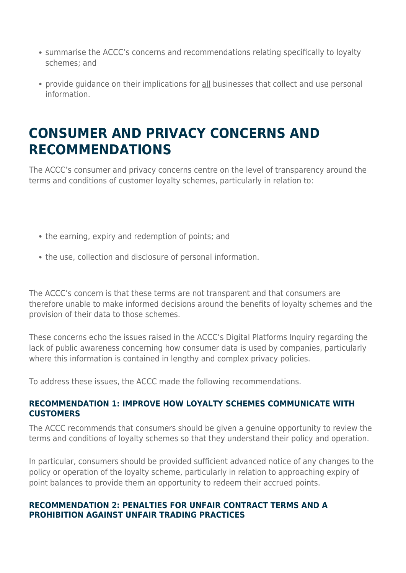- summarise the ACCC's concerns and recommendations relating specifically to loyalty schemes; and
- provide guidance on their implications for all businesses that collect and use personal information.

### **CONSUMER AND PRIVACY CONCERNS AND RECOMMENDATIONS**

The ACCC's consumer and privacy concerns centre on the level of transparency around the terms and conditions of customer loyalty schemes, particularly in relation to:

- the earning, expiry and redemption of points; and
- the use, collection and disclosure of personal information.

The ACCC's concern is that these terms are not transparent and that consumers are therefore unable to make informed decisions around the benefits of loyalty schemes and the provision of their data to those schemes.

These concerns echo the issues raised in the ACCC's Digital Platforms Inquiry regarding the lack of public awareness concerning how consumer data is used by companies, particularly where this information is contained in lengthy and complex privacy policies.

To address these issues, the ACCC made the following recommendations.

#### **RECOMMENDATION 1: IMPROVE HOW LOYALTY SCHEMES COMMUNICATE WITH CUSTOMERS**

The ACCC recommends that consumers should be given a genuine opportunity to review the terms and conditions of loyalty schemes so that they understand their policy and operation.

In particular, consumers should be provided sufficient advanced notice of any changes to the policy or operation of the loyalty scheme, particularly in relation to approaching expiry of point balances to provide them an opportunity to redeem their accrued points.

#### **RECOMMENDATION 2: PENALTIES FOR UNFAIR CONTRACT TERMS AND A PROHIBITION AGAINST UNFAIR TRADING PRACTICES**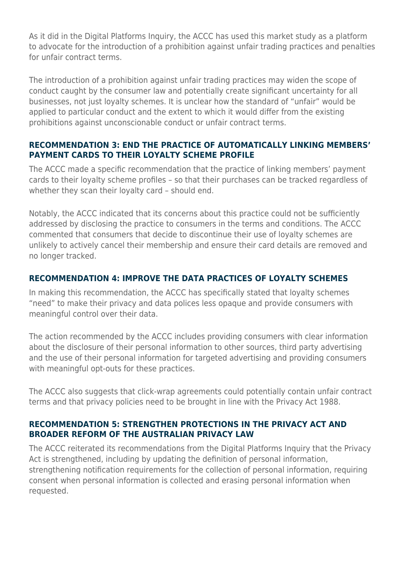As it did in the Digital Platforms Inquiry, the ACCC has used this market study as a platform to advocate for the introduction of a prohibition against unfair trading practices and penalties for unfair contract terms.

The introduction of a prohibition against unfair trading practices may widen the scope of conduct caught by the consumer law and potentially create significant uncertainty for all businesses, not just loyalty schemes. It is unclear how the standard of "unfair" would be applied to particular conduct and the extent to which it would differ from the existing prohibitions against unconscionable conduct or unfair contract terms.

#### **RECOMMENDATION 3: END THE PRACTICE OF AUTOMATICALLY LINKING MEMBERS' PAYMENT CARDS TO THEIR LOYALTY SCHEME PROFILE**

The ACCC made a specific recommendation that the practice of linking members' payment cards to their loyalty scheme profiles – so that their purchases can be tracked regardless of whether they scan their loyalty card – should end.

Notably, the ACCC indicated that its concerns about this practice could not be sufficiently addressed by disclosing the practice to consumers in the terms and conditions. The ACCC commented that consumers that decide to discontinue their use of loyalty schemes are unlikely to actively cancel their membership and ensure their card details are removed and no longer tracked.

#### **RECOMMENDATION 4: IMPROVE THE DATA PRACTICES OF LOYALTY SCHEMES**

In making this recommendation, the ACCC has specifically stated that loyalty schemes "need" to make their privacy and data polices less opaque and provide consumers with meaningful control over their data.

The action recommended by the ACCC includes providing consumers with clear information about the disclosure of their personal information to other sources, third party advertising and the use of their personal information for targeted advertising and providing consumers with meaningful opt-outs for these practices.

The ACCC also suggests that click-wrap agreements could potentially contain unfair contract terms and that privacy policies need to be brought in line with the Privacy Act 1988.

#### **RECOMMENDATION 5: STRENGTHEN PROTECTIONS IN THE PRIVACY ACT AND BROADER REFORM OF THE AUSTRALIAN PRIVACY LAW**

The ACCC reiterated its recommendations from the Digital Platforms Inquiry that the Privacy Act is strengthened, including by updating the definition of personal information, strengthening notification requirements for the collection of personal information, requiring consent when personal information is collected and erasing personal information when requested.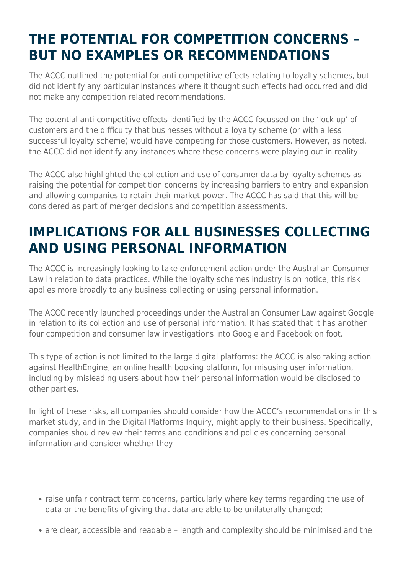### **THE POTENTIAL FOR COMPETITION CONCERNS – BUT NO EXAMPLES OR RECOMMENDATIONS**

The ACCC outlined the potential for anti-competitive effects relating to loyalty schemes, but did not identify any particular instances where it thought such effects had occurred and did not make any competition related recommendations.

The potential anti-competitive effects identified by the ACCC focussed on the 'lock up' of customers and the difficulty that businesses without a loyalty scheme (or with a less successful loyalty scheme) would have competing for those customers. However, as noted, the ACCC did not identify any instances where these concerns were playing out in reality.

The ACCC also highlighted the collection and use of consumer data by loyalty schemes as raising the potential for competition concerns by increasing barriers to entry and expansion and allowing companies to retain their market power. The ACCC has said that this will be considered as part of merger decisions and competition assessments.

### **IMPLICATIONS FOR ALL BUSINESSES COLLECTING AND USING PERSONAL INFORMATION**

The ACCC is increasingly looking to take enforcement action under the Australian Consumer Law in relation to data practices. While the loyalty schemes industry is on notice, this risk applies more broadly to any business collecting or using personal information.

The ACCC recently launched proceedings under the Australian Consumer Law against Google in relation to its collection and use of personal information. It has stated that it has another four competition and consumer law investigations into Google and Facebook on foot.

This type of action is not limited to the large digital platforms: the ACCC is also taking action against HealthEngine, an online health booking platform, for misusing user information, including by misleading users about how their personal information would be disclosed to other parties.

In light of these risks, all companies should consider how the ACCC's recommendations in this market study, and in the Digital Platforms Inquiry, might apply to their business. Specifically, companies should review their terms and conditions and policies concerning personal information and consider whether they:

- raise unfair contract term concerns, particularly where key terms regarding the use of data or the benefits of giving that data are able to be unilaterally changed;
- are clear, accessible and readable length and complexity should be minimised and the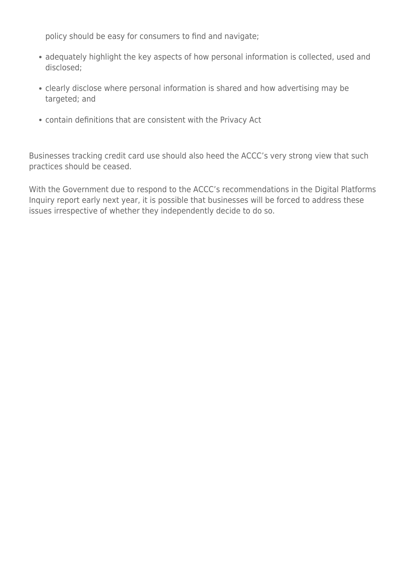policy should be easy for consumers to find and navigate;

- adequately highlight the key aspects of how personal information is collected, used and disclosed;
- clearly disclose where personal information is shared and how advertising may be targeted; and
- contain definitions that are consistent with the Privacy Act

Businesses tracking credit card use should also heed the ACCC's very strong view that such practices should be ceased.

With the Government due to respond to the ACCC's recommendations in the Digital Platforms Inquiry report early next year, it is possible that businesses will be forced to address these issues irrespective of whether they independently decide to do so.